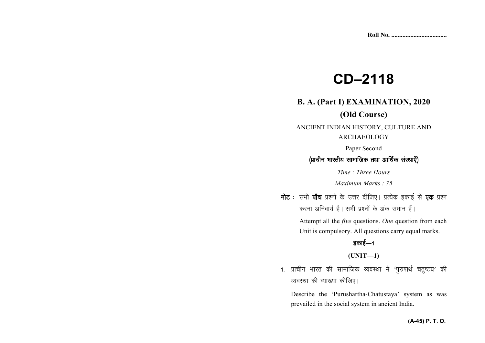# **CD–2118**

# **B. A. (Part I) EXAMINATION, 2020**

### **(Old Course)**

ANCIENT INDIAN HISTORY, CULTURE AND ARCHAEOLOGY

Paper Second

#### (प्राचीन भारतीय सामाजिक तथा आर्थिक संस्थाएँ)

*Time : Three Hours* 

*Maximum Marks : 75*

नोट : सभी पाँच प्रश्नों के उत्तर दीजिए। प्रत्येक इकाई से **एक** प्रश्न करना अनिवार्य है। सभी प्रश्नों के अंक समान हैं।

> Attempt all the *five* questions. *One* question from each Unit is compulsory. All questions carry equal marks.

# इकाई—1

**(UNIT—1)** 

1. प्राचीन भारत की सामाजिक व्यवस्था में 'पुरुषार्थ चतुष्टय' की व्यवस्था की व्याख्या कीजिए।

Describe the 'Purushartha-Chatustaya' system as wasprevailed in the social system in ancient India.